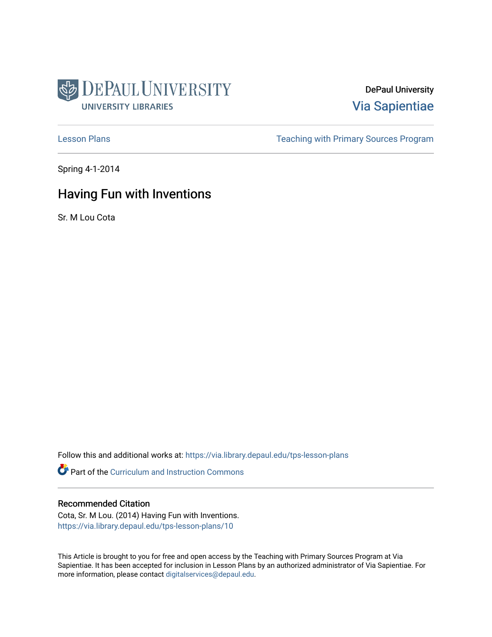

DePaul University [Via Sapientiae](https://via.library.depaul.edu/) 

[Lesson Plans](https://via.library.depaul.edu/tps-lesson-plans) **Teaching with Primary Sources Program** 

Spring 4-1-2014

# Having Fun with Inventions

Sr. M Lou Cota

Follow this and additional works at: [https://via.library.depaul.edu/tps-lesson-plans](https://via.library.depaul.edu/tps-lesson-plans?utm_source=via.library.depaul.edu%2Ftps-lesson-plans%2F10&utm_medium=PDF&utm_campaign=PDFCoverPages) 

**Part of the Curriculum and Instruction Commons** 

#### Recommended Citation

Cota, Sr. M Lou. (2014) Having Fun with Inventions. [https://via.library.depaul.edu/tps-lesson-plans/10](https://via.library.depaul.edu/tps-lesson-plans/10?utm_source=via.library.depaul.edu%2Ftps-lesson-plans%2F10&utm_medium=PDF&utm_campaign=PDFCoverPages) 

This Article is brought to you for free and open access by the Teaching with Primary Sources Program at Via Sapientiae. It has been accepted for inclusion in Lesson Plans by an authorized administrator of Via Sapientiae. For more information, please contact [digitalservices@depaul.edu](mailto:digitalservices@depaul.edu).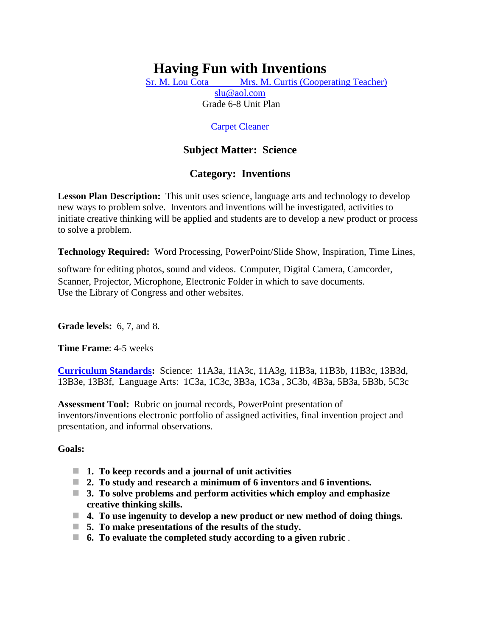# **Having Fun with Inventions**

[Sr. M. Lou Cota Mrs. M. Curtis \(Cooperating Teacher\)](mailto:slu7735@aol.com) [slu@aol.com](mailto:slu@aol.com)

Grade 6-8 Unit Plan

# [Carpet Cleaner](http://memory.loc.gov/cgi-bin/query/r?ammem/psbib:@field%28DOCID+@lit%28p13006%29%29)

# **Subject Matter: Science**

# **Category: Inventions**

**Lesson Plan Description:** This unit uses science, language arts and technology to develop new ways to problem solve. Inventors and inventions will be investigated, activities to initiate creative thinking will be applied and students are to develop a new product or process to solve a problem.

**Technology Required:** Word Processing, PowerPoint/Slide Show, Inspiration, Time Lines,

software for editing photos, sound and videos. Computer, Digital Camera, Camcorder, Scanner, Projector, Microphone, Electronic Folder in which to save documents. Use the Library of Congress and other websites.

**Grade levels:** 6, 7, and 8.

**Time Frame**: 4-5 weeks

**[Curriculum Standards:](http://condor.depaul.edu/tps/lessonplans/illinois_state_standards_for_thi.htm)** Science: 11A3a, 11A3c, 11A3g, 11B3a, 11B3b, 11B3c, 13B3d, 13B3e, 13B3f, Language Arts: 1C3a, 1C3c, 3B3a, 1C3a , 3C3b, 4B3a, 5B3a, 5B3b, 5C3c

**Assessment Tool:** Rubric on journal records, PowerPoint presentation of inventors/inventions electronic portfolio of assigned activities, final invention project and presentation, and informal observations.

# **Goals:**

- **1. To keep records and a journal of unit activities**
- **2. To study and research a minimum of 6 inventors and 6 inventions.**
- **3. To solve problems and perform activities which employ and emphasize creative thinking skills.**
- **4. To use ingenuity to develop a new product or new method of doing things.**
- **5. To make presentations of the results of the study.**
- **6. To evaluate the completed study according to a given rubric** .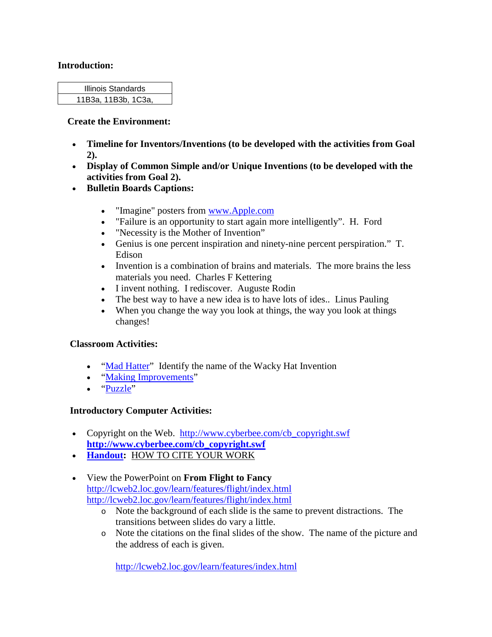#### **Introduction:**

| Illinois Standards  |  |
|---------------------|--|
| 11B3a, 11B3b, 1C3a, |  |

#### **Create the Environment:**

- **Timeline for Inventors/Inventions (to be developed with the activities from Goal 2).**
- **Display of Common Simple and/or Unique Inventions (to be developed with the activities from Goal 2).**
- **Bulletin Boards Captions:**
	- "Imagine" posters from [www.Apple.com](http://www.apple.com/)
	- "Failure is an opportunity to start again more intelligently". H. Ford
	- "Necessity is the Mother of Invention"
	- Genius is one percent inspiration and ninety-nine percent perspiration." T. Edison
	- Invention is a combination of brains and materials. The more brains the less materials you need. Charles F Kettering
	- I invent nothing. I rediscover. Auguste Rodin
	- The best way to have a new idea is to have lots of ides.. Linus Pauling
	- When you change the way you look at things, the way you look at things changes!

# **Classroom Activities:**

- ["Mad Hatter"](http://condor.depaul.edu/tps/lessonplans/Mad%20Hatter.htm) Identify the name of the Wacky Hat Invention
- ["Making Improvements"](http://condor.depaul.edu/tps/lessonplans/making_improvements.htm)
- ["Puzzle"](http://condor.depaul.edu/tps/lessonplans/puzzle_pattern.htm)

# **Introductory Computer Activities:**

- Copyright on the Web. [http://www.cyberbee.com/cb\\_copyright.swf](http://www.cyberbee.com/cb_copyright.swf) **[http://www.cyberbee.com/cb\\_copyright.swf](http://www.cyberbee.com/cb_copyright.swf)**
- **[Handout:](http://condor.depaul.edu/tps/lessonplans/how_to_site_your_work.htm)** HOW TO CITE YOUR WORK
- View the PowerPoint on **From Flight to Fancy** <http://lcweb2.loc.gov/learn/features/flight/index.html> <http://lcweb2.loc.gov/learn/features/flight/index.html>
	- o Note the background of each slide is the same to prevent distractions. The transitions between slides do vary a little.
	- o Note the citations on the final slides of the show. The name of the picture and the address of each is given[.](http://lcweb2.loc.gov/learn/features/index.html)

<http://lcweb2.loc.gov/learn/features/index.html>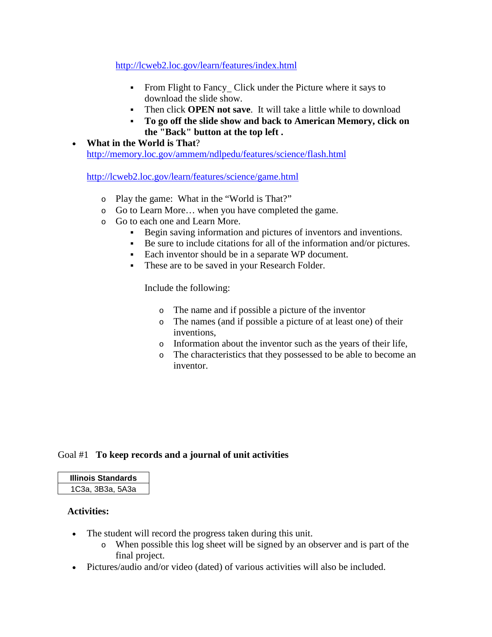## <http://lcweb2.loc.gov/learn/features/index.html>

- From Flight to Fancy Click under the Picture where it says to download the slide show.
- Then click **OPEN not save**. It will take a little while to download
- **To go off the slide show and back to American Memory, click on the "Back" button at the top left .**
- **What in the World is That**? <http://memory.loc.gov/ammem/ndlpedu/features/science/flash.html>

<http://lcweb2.loc.gov/learn/features/science/game.html>

- o Play the game: What in the "World is That?"
- o Go to Learn More… when you have completed the game.
- o Go to each one and Learn More.
	- Begin saving information and pictures of inventors and inventions.
	- Be sure to include citations for all of the information and/or pictures.
	- Each inventor should be in a separate WP document.
	- These are to be saved in your Research Folder.

Include the following:

- o The name and if possible a picture of the inventor
- o The names (and if possible a picture of at least one) of their inventions,
- o Information about the inventor such as the years of their life,
- o The characteristics that they possessed to be able to become an inventor.

# Goal #1 **To keep records and a journal of unit activities**

## **Illinois Standards** 1C3a, 3B3a, 5A3a

#### **Activities:**

- The student will record the progress taken during this unit.
	- o When possible this log sheet will be signed by an observer and is part of the final project.
- Pictures/audio and/or video (dated) of various activities will also be included.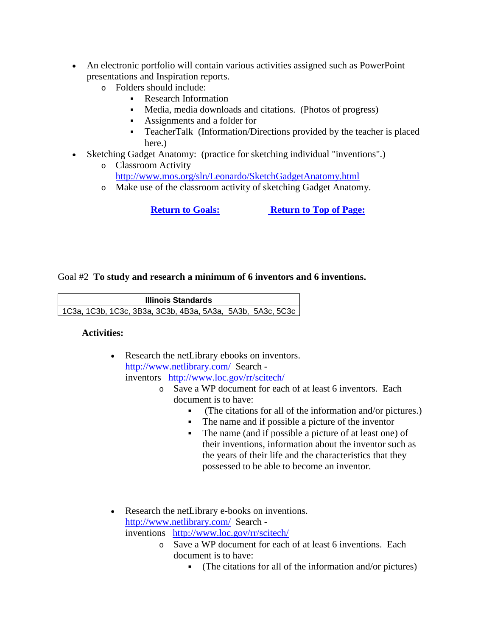- An electronic portfolio will contain various activities assigned such as PowerPoint presentations and Inspiration reports.
	- o Folders should include:
		- Research Information
		- Media, media downloads and citations. (Photos of progress)
		- Assignments and a folder for
		- TeacherTalk (Information/Directions provided by the teacher is placed here.)
- Sketching Gadget Anatomy: (practice for sketching individual "inventions".)
	- o Classroom Activity <http://www.mos.org/sln/Leonardo/SketchGadgetAnatomy.html>
	- o Make use of the classroom activity of sketching Gadget Anatomy.

**[Return to Goals:](http://condor.depaul.edu/tps/lessonplans/Having_Fun_with_Inventions.htm%23Goals:) [Return to Top of Page:](http://condor.depaul.edu/tps/lessonplans/Having_Fun_with_Inventions.htm%23Top)**

## Goal #2 **To study and research a minimum of 6 inventors and 6 inventions.**

**Illinois Standards** 1C3a, 1C3b, 1C3c, 3B3a, 3C3b, 4B3a, 5A3a, 5A3b, 5A3c, 5C3c

#### **Activities:**

- Research the netLibrary ebooks on inventors. <http://www.netlibrary.com/> Search inventors <http://www.loc.gov/rr/scitech/>
	- o Save a WP document for each of at least 6 inventors. Each document is to have:
		- (The citations for all of the information and/or pictures.)
		- The name and if possible a picture of the inventor
		- The name (and if possible a picture of at least one) of their inventions, information about the inventor such as the years of their life and the characteristics that they possessed to be able to become an inventor.
- Research the netLibrary e-books on inventions. <http://www.netlibrary.com/> Search inventions <http://www.loc.gov/rr/scitech/>
	- o Save a WP document for each of at least 6 inventions. Each document is to have:
		- (The citations for all of the information and/or pictures)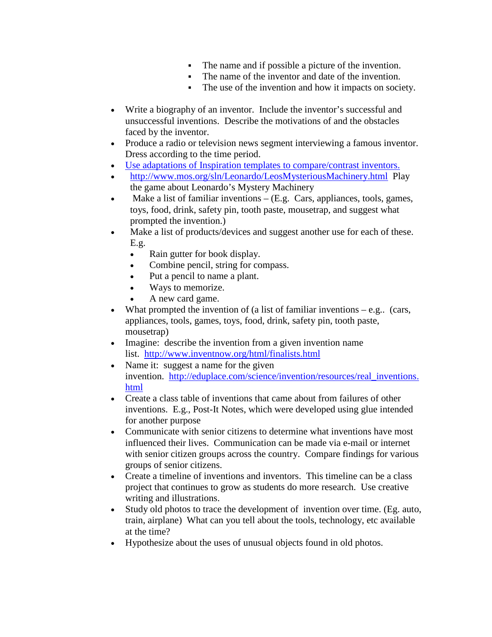- The name and if possible a picture of the invention.
- The name of the inventor and date of the invention.
- The use of the invention and how it impacts on society.
- Write a biography of an inventor. Include the inventor's successful and unsuccessful inventions. Describe the motivations of and the obstacles faced by the inventor.
- Produce a radio or television news segment interviewing a famous inventor. Dress according to the time period.
- Use adaptations [of Inspiration templates to compare/contrast inventors.](http://condor.depaul.edu/tps/lessonplans/comparing_inventors_using_inspir.htm)
- <http://www.mos.org/sln/Leonardo/LeosMysteriousMachinery.html> Play the game about Leonardo's Mystery Machinery
- Make a list of familiar inventions  $-$  (E.g. Cars, appliances, tools, games, toys, food, drink, safety pin, tooth paste, mousetrap, and suggest what prompted the invention.)
- Make a list of products/devices and suggest another use for each of these. E.g.
	- Rain gutter for book display.
	- Combine pencil, string for compass.
	- Put a pencil to name a plant.
	- Ways to memorize.
	- A new card game.
- What prompted the invention of (a list of familiar inventions  $-e.g.,$  (cars, appliances, tools, games, toys, food, drink, safety pin, tooth paste, mousetrap)
- Imagine: describe the invention from a given invention name list. <http://www.inventnow.org/html/finalists.html>
- Name it: suggest a name for the given invention. [http://eduplace.com/science/invention/resources/real\\_inventions.](http://eduplace.com/science/invention/resources/real_inventions.html) [html](http://eduplace.com/science/invention/resources/real_inventions.html)
- Create a class table of inventions that came about from failures of other inventions. E.g., Post-It Notes, which were developed using glue intended for another purpose
- Communicate with senior citizens to determine what inventions have most influenced their lives. Communication can be made via e-mail or internet with senior citizen groups across the country. Compare findings for various groups of senior citizens.
- Create a timeline of inventions and inventors. This timeline can be a class project that continues to grow as students do more research. Use creative writing and illustrations.
- Study old photos to trace the development of invention over time. (Eg. auto, train, airplane) What can you tell about the tools, technology, etc available at the time?
- Hypothesize about the uses of unusual objects found in old photos.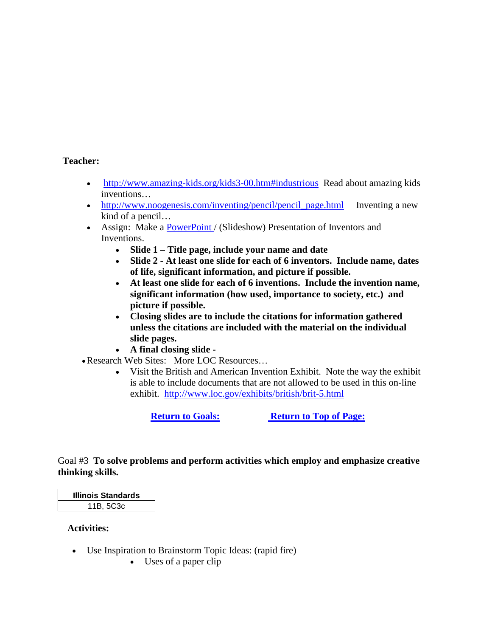## **Teacher:**

- [http://www.amazing-kids.org/kids3-00.htm#industrious](http://www.amazing-kids.org/kids3-00.htm%23industrious) Read about amazing kids inventions…
- [http://www.noogenesis.com/inventing/pencil/pencil\\_page.html](http://www.noogenesis.com/inventing/pencil/pencil_page.html) Inventing a new kind of a pencil…
- Assign: Make a [PowerPoint /](http://condor.depaul.edu/tps/lessonplans/KimeishaM3.ppt) (Slideshow) Presentation of Inventors and Inventions.
	- **Slide 1 – Title page, include your name and date**
	- **Slide 2 - At least one slide for each of 6 inventors. Include name, dates of life, significant information, and picture if possible.**
	- **At least one slide for each of 6 inventions. Include the invention name, significant information (how used, importance to society, etc.) and picture if possible.**
	- **Closing slides are to include the citations for information gathered unless the citations are included with the material on the individual slide pages.**
	- **A final closing slide -**
- •Research Web Sites: More LOC Resources…
	- Visit the British and American Invention Exhibit. Note the way the exhibit is able to include documents that are not allowed to be used in this on-line exhibit. <http://www.loc.gov/exhibits/british/brit-5.html>

**[Return to Goals:](http://condor.depaul.edu/tps/lessonplans/Having_Fun_with_Inventions.htm%23Goals:) [Return to Top of Page:](http://condor.depaul.edu/tps/lessonplans/Having_Fun_with_Inventions.htm%23Top)**

# Goal #3 **To solve problems and perform activities which employ and emphasize creative thinking skills.**

**Illinois Standards** 11B, 5C3c

#### **Activities:**

- Use Inspiration to Brainstorm Topic Ideas: (rapid fire)
	- Uses of a paper clip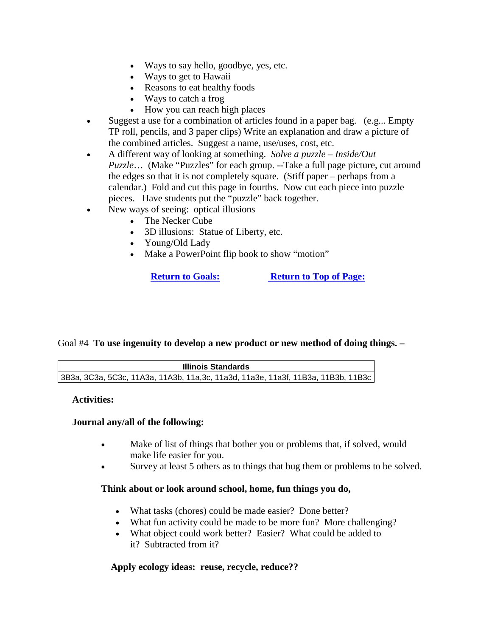- Ways to say hello, goodbye, yes, etc.
- Ways to get to Hawaii
- Reasons to eat healthy foods
- Ways to catch a frog
- How you can reach high places
- Suggest a use for a combination of articles found in a paper bag. (e.g... Empty TP roll, pencils, and 3 paper clips) Write an explanation and draw a picture of the combined articles. Suggest a name, use/uses, cost, etc.
- A different way of looking at something. *Solve a puzzle – Inside/Out Puzzle*… (Make "Puzzles" for each group. --Take a full page picture, cut around the edges so that it is not completely square. (Stiff paper – perhaps from a calendar.) Fold and cut this page in fourths. Now cut each piece into puzzle pieces. Have students put the "puzzle" back together.
- New ways of seeing: optical illusions
	- The Necker Cube
	- 3D illusions: Statue of Liberty, etc.
	- Young/Old Lady
	- Make a PowerPoint flip book to show "motion"

**[Return to Goals:](http://condor.depaul.edu/tps/lessonplans/Having_Fun_with_Inventions.htm%23Goals:) [Return to Top of Page:](http://condor.depaul.edu/tps/lessonplans/Having_Fun_with_Inventions.htm%23Top)**

# Goal #4 **To use ingenuity to develop a new product or new method of doing things. –**

| Illinois Standards                                                               |  |
|----------------------------------------------------------------------------------|--|
| 3B3a, 3C3a, 5C3c, 11A3a, 11A3b, 11a,3c, 11a3d, 11a3e, 11a3f, 11B3a, 11B3b, 11B3c |  |

**Activities:**

# **Journal any/all of the following:**

- Make of list of things that bother you or problems that, if solved, would make life easier for you.
- Survey at least 5 others as to things that bug them or problems to be solved.

# **Think about or look around school, home, fun things you do,**

- What tasks (chores) could be made easier? Done better?
- What fun activity could be made to be more fun? More challenging?
- What object could work better? Easier? What could be added to it? Subtracted from it?

# **Apply ecology ideas: reuse, recycle, reduce??**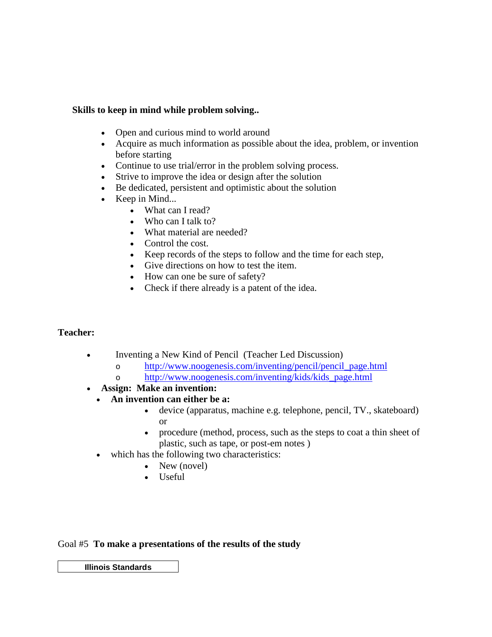# **Skills to keep in mind while problem solving..**

- Open and curious mind to world around
- Acquire as much information as possible about the idea, problem, or invention before starting
- Continue to use trial/error in the problem solving process.
- Strive to improve the idea or design after the solution
- Be dedicated, persistent and optimistic about the solution
- Keep in Mind...
	- What can I read?
		- Who can I talk to?
		- What material are needed?
		- Control the cost.
		- Keep records of the steps to follow and the time for each step,
		- Give directions on how to test the item.
		- How can one be sure of safety?
		- Check if there already is a patent of the idea.

#### **Teacher:**

- Inventing a New Kind of Pencil (Teacher Led Discussion)
	- o [http://www.noogenesis.com/inventing/pencil/pencil\\_page.html](http://www.noogenesis.com/inventing/pencil/pencil_page.html)
	- o [http://www.noogenesis.com/inventing/kids/kids\\_page.html](http://www.noogenesis.com/inventing/kids/kids_page.html)
- **Assign: Make an invention:**
	- **An invention can either be a:** 
		- device (apparatus, machine e.g. telephone, pencil, TV., skateboard) or
		- procedure (method, process, such as the steps to coat a thin sheet of plastic, such as tape, or post-em notes )
	- which has the following two characteristics:
		- New (novel)
		- Useful

Goal #5 **To make a presentations of the results of the study**

**Illinois Standards**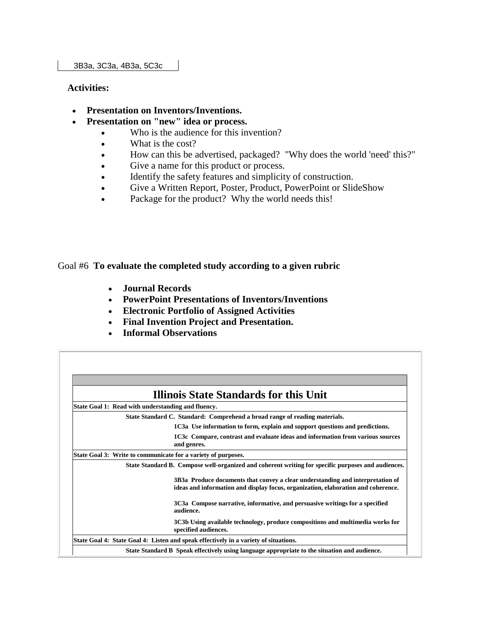#### **Activities:**

- **Presentation on Inventors/Inventions.**
- **Presentation on "new" idea or process.**
	- Who is the audience for this invention?
	- What is the cost?
	- How can this be advertised, packaged? "Why does the world 'need' this?"
	- Give a name for this product or process.
	- Identify the safety features and simplicity of construction.
	- Give a Written Report, Poster, Product, PowerPoint or SlideShow
	- Package for the product? Why the world needs this!

Goal #6 **To evaluate the completed study according to a given rubric**

- **Journal Records**
- **PowerPoint Presentations of Inventors/Inventions**
- **Electronic Portfolio of Assigned Activities**
- **Final Invention Project and Presentation.**
- **Informal Observations**

|                                                    | <b>Illinois State Standards for this Unit</b>                                                                                                                       |
|----------------------------------------------------|---------------------------------------------------------------------------------------------------------------------------------------------------------------------|
| State Goal 1: Read with understanding and fluency. |                                                                                                                                                                     |
|                                                    | State Standard C. Standard: Comprehend a broad range of reading materials.                                                                                          |
|                                                    | 1C3a Use information to form, explain and support questions and predictions.                                                                                        |
|                                                    | 1C3c Compare, contrast and evaluate ideas and information from various sources<br>and genres.                                                                       |
|                                                    | State Goal 3: Write to communicate for a variety of purposes.                                                                                                       |
|                                                    | State Standard B. Compose well-organized and coherent writing for specific purposes and audiences.                                                                  |
|                                                    | 3B3a Produce documents that convey a clear understanding and interpretation of<br>ideas and information and display focus, organization, elaboration and coherence. |
|                                                    | 3C3a Compose narrative, informative, and persuasive writings for a specified<br>audience.                                                                           |
|                                                    | 3C3b Using available technology, produce compositions and multimedia works for<br>specified audiences.                                                              |
|                                                    | State Goal 4: State Goal 4: Listen and speak effectively in a variety of situations.                                                                                |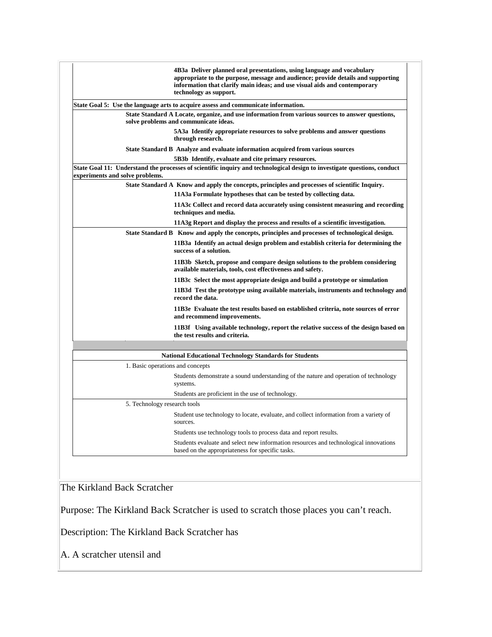|                                  | 4B3a Deliver planned oral presentations, using language and vocabulary<br>appropriate to the purpose, message and audience; provide details and supporting<br>information that clarify main ideas; and use visual aids and contemporary<br>technology as support. |
|----------------------------------|-------------------------------------------------------------------------------------------------------------------------------------------------------------------------------------------------------------------------------------------------------------------|
|                                  | State Goal 5: Use the language arts to acquire assess and communicate information.                                                                                                                                                                                |
|                                  | State Standard A Locate, organize, and use information from various sources to answer questions,<br>solve problems and communicate ideas.                                                                                                                         |
|                                  | 5A3a Identify appropriate resources to solve problems and answer questions<br>through research.                                                                                                                                                                   |
|                                  | State Standard B Analyze and evaluate information acquired from various sources                                                                                                                                                                                   |
|                                  | 5B3b Identify, evaluate and cite primary resources.                                                                                                                                                                                                               |
| experiments and solve problems.  | State Goal 11: Understand the processes of scientific inquiry and technological design to investigate questions, conduct                                                                                                                                          |
|                                  | State Standard A Know and apply the concepts, principles and processes of scientific Inquiry.                                                                                                                                                                     |
|                                  | 11A3a Formulate hypotheses that can be tested by collecting data.                                                                                                                                                                                                 |
|                                  | 11A3c Collect and record data accurately using consistent measuring and recording<br>techniques and media.                                                                                                                                                        |
|                                  | 11A3g Report and display the process and results of a scientific investigation.                                                                                                                                                                                   |
|                                  | State Standard B Know and apply the concepts, principles and processes of technological design.                                                                                                                                                                   |
|                                  | 11B3a Identify an actual design problem and establish criteria for determining the<br>success of a solution.                                                                                                                                                      |
|                                  | 11B3b Sketch, propose and compare design solutions to the problem considering<br>available materials, tools, cost effectiveness and safety.                                                                                                                       |
|                                  | 11B3c Select the most appropriate design and build a prototype or simulation                                                                                                                                                                                      |
|                                  | 11B3d Test the prototype using available materials, instruments and technology and<br>record the data.                                                                                                                                                            |
|                                  | 11B3e Evaluate the test results based on established criteria, note sources of error<br>and recommend improvements.                                                                                                                                               |
|                                  | 11B3f Using available technology, report the relative success of the design based on<br>the test results and criteria.                                                                                                                                            |
|                                  |                                                                                                                                                                                                                                                                   |
|                                  | <b>National Educational Technology Standards for Students</b>                                                                                                                                                                                                     |
| 1. Basic operations and concepts |                                                                                                                                                                                                                                                                   |
|                                  | Students demonstrate a sound understanding of the nature and operation of technology<br>systems.                                                                                                                                                                  |
|                                  | Students are proficient in the use of technology.                                                                                                                                                                                                                 |
| 5. Technology research tools     |                                                                                                                                                                                                                                                                   |
|                                  | Student use technology to locate, evaluate, and collect information from a variety of<br>sources.                                                                                                                                                                 |
|                                  |                                                                                                                                                                                                                                                                   |
|                                  | Students use technology tools to process data and report results.                                                                                                                                                                                                 |

The Kirkland Back Scratcher

Purpose: The Kirkland Back Scratcher is used to scratch those places you can't reach.

Description: The Kirkland Back Scratcher has

A. A scratcher utensil and